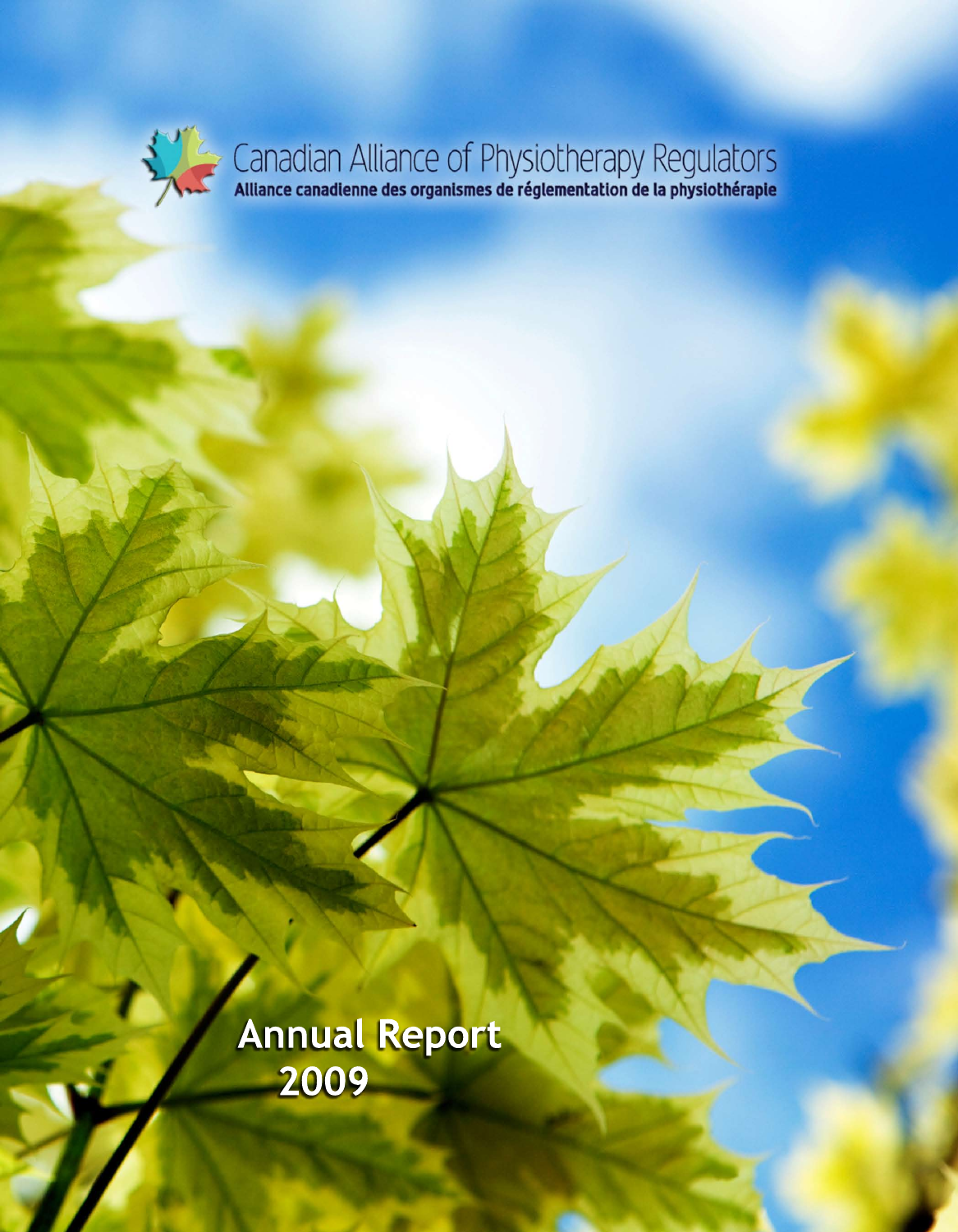

**Annual Report 2009**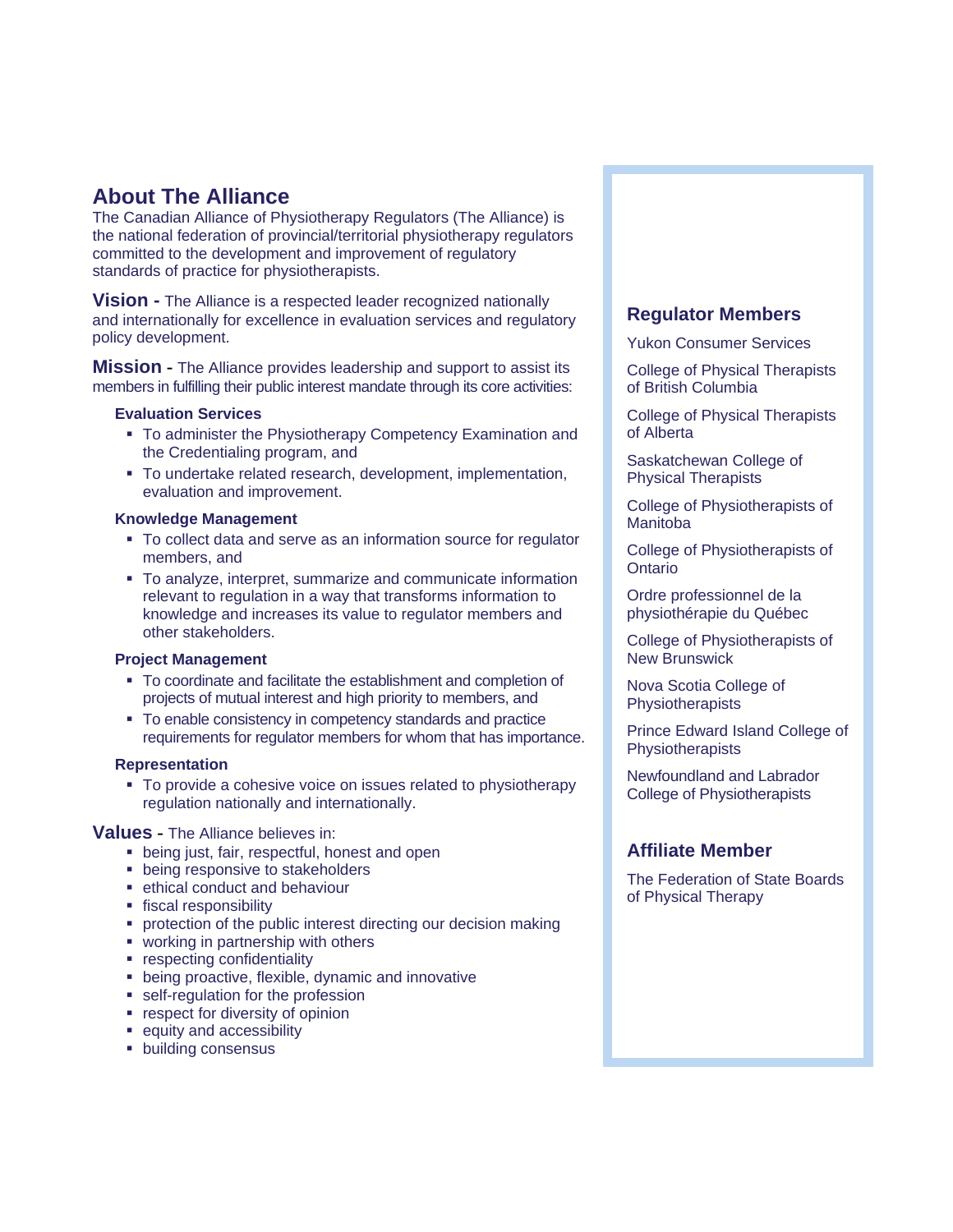# **About The Alliance**

The Canadian Alliance of Physiotherapy Regulators (The Alliance) is the national federation of provincial/territorial physiotherapy regulators committed to the development and improvement of regulatory standards of practice for physiotherapists.

**Vision -** The Alliance is a respected leader recognized nationally and internationally for excellence in evaluation services and regulatory policy development.

**Mission -** The Alliance provides leadership and support to assist its members in fulfilling their public interest mandate through its core activities:

### **Evaluation Services**

- To administer the Physiotherapy Competency Examination and the Credentialing program, and
- To undertake related research, development, implementation, evaluation and improvement.

#### **Knowledge Management**

- To collect data and serve as an information source for regulator members, and
- To analyze, interpret, summarize and communicate information relevant to regulation in a way that transforms information to knowledge and increases its value to regulator members and other stakeholders.

### **Project Management**

- To coordinate and facilitate the establishment and completion of projects of mutual interest and high priority to members, and
- To enable consistency in competency standards and practice requirements for regulator members for whom that has importance.

#### **Representation**

 To provide a cohesive voice on issues related to physiotherapy regulation nationally and internationally.

### **Values -** The Alliance believes in:

- **being just, fair, respectful, honest and open**
- **being responsive to stakeholders**
- ethical conduct and behaviour
- **fiscal responsibility**
- **PEDECTION OF THE PUBLIC INTEREST DETECTION CONTROL Protection making**
- **working in partnership with others**
- **respecting confidentiality**
- **being proactive, flexible, dynamic and innovative**
- **self-regulation for the profession**
- **•** respect for diversity of opinion
- **equity and accessibility**
- **building consensus**

## **Regulator Members**

Yukon Consumer Services

College of Physical Therapists of British Columbia

College of Physical Therapists of Alberta

Saskatchewan College of Physical Therapists

College of Physiotherapists of Manitoba

College of Physiotherapists of Ontario

Ordre professionnel de la physiothérapie du Québec

College of Physiotherapists of New Brunswick

Nova Scotia College of Physiotherapists

Prince Edward Island College of Physiotherapists

Newfoundland and Labrador College of Physiotherapists

### **Affiliate Member**

The Federation of State Boards of Physical Therapy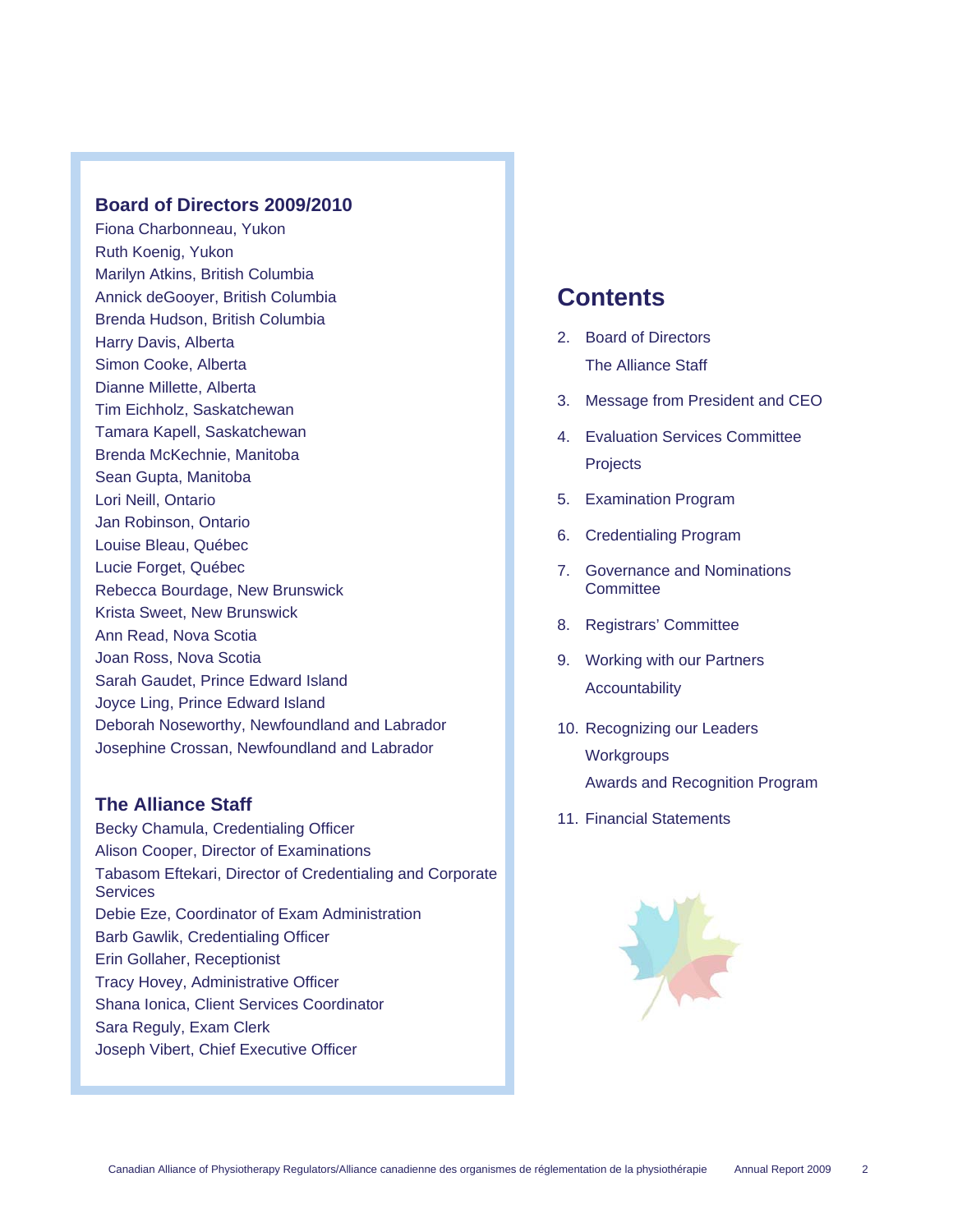### **Board of Directors 2009/2010**

Fiona Charbonneau, Yukon Ruth Koenig, Yukon Marilyn Atkins, British Columbia Annick deGooyer, British Columbia Brenda Hudson, British Columbia Harry Davis, Alberta Simon Cooke, Alberta Dianne Millette, Alberta Tim Eichholz, Saskatchewan Tamara Kapell, Saskatchewan Brenda McKechnie, Manitoba Sean Gupta, Manitoba Lori Neill, Ontario Jan Robinson, Ontario Louise Bleau, Québec Lucie Forget, Québec Rebecca Bourdage, New Brunswick Krista Sweet, New Brunswick Ann Read, Nova Scotia Joan Ross, Nova Scotia Sarah Gaudet, Prince Edward Island Joyce Ling, Prince Edward Island Deborah Noseworthy, Newfoundland and Labrador Josephine Crossan, Newfoundland and Labrador

### **The Alliance Staff**

Becky Chamula, Credentialing Officer Alison Cooper, Director of Examinations Tabasom Eftekari, Director of Credentialing and Corporate **Services** Debie Eze, Coordinator of Exam Administration Barb Gawlik, Credentialing Officer Erin Gollaher, Receptionist Tracy Hovey, Administrative Officer Shana Ionica, Client Services Coordinator Sara Reguly, Exam Clerk Joseph Vibert, Chief Executive Officer

# **Contents**

- 2. Board of Directors The Alliance Staff
- 3. Message from President and CEO
- 4. Evaluation Services Committee **Projects**
- 5. Examination Program
- 6. Credentialing Program
- 7. Governance and Nominations **Committee**
- 8. Registrars' Committee
- 9. Working with our Partners Accountability
- 10. Recognizing our Leaders **Workgroups** Awards and Recognition Program
- 11. Financial Statements

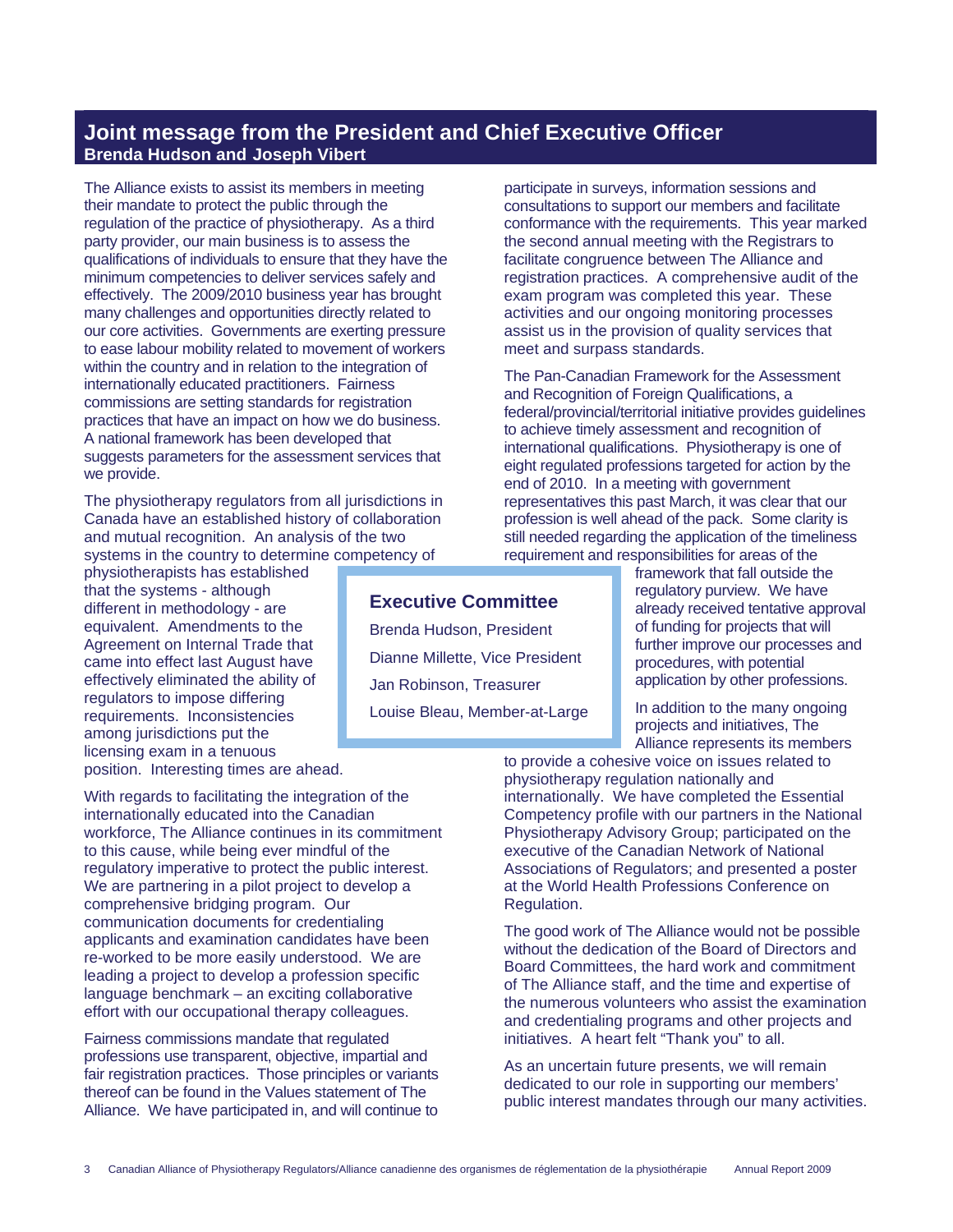# **Joint message from the President and Chief Executive Officer Brenda Hudson and Joseph Vibert**

The Alliance exists to assist its members in meeting their mandate to protect the public through the regulation of the practice of physiotherapy. As a third party provider, our main business is to assess the qualifications of individuals to ensure that they have the minimum competencies to deliver services safely and effectively. The 2009/2010 business year has brought many challenges and opportunities directly related to our core activities. Governments are exerting pressure to ease labour mobility related to movement of workers within the country and in relation to the integration of internationally educated practitioners. Fairness commissions are setting standards for registration practices that have an impact on how we do business. A national framework has been developed that suggests parameters for the assessment services that we provide.

The physiotherapy regulators from all jurisdictions in Canada have an established history of collaboration and mutual recognition. An analysis of the two systems in the country to determine competency of

physiotherapists has established that the systems - although different in methodology - are equivalent. Amendments to the Agreement on Internal Trade that came into effect last August have effectively eliminated the ability of regulators to impose differing requirements. Inconsistencies among jurisdictions put the licensing exam in a tenuous position. Interesting times are ahead.

With regards to facilitating the integration of the internationally educated into the Canadian workforce, The Alliance continues in its commitment to this cause, while being ever mindful of the regulatory imperative to protect the public interest. We are partnering in a pilot project to develop a comprehensive bridging program. Our communication documents for credentialing applicants and examination candidates have been re-worked to be more easily understood. We are leading a project to develop a profession specific language benchmark – an exciting collaborative effort with our occupational therapy colleagues.

Fairness commissions mandate that regulated professions use transparent, objective, impartial and fair registration practices. Those principles or variants thereof can be found in the Values statement of The Alliance. We have participated in, and will continue to

participate in surveys, information sessions and consultations to support our members and facilitate conformance with the requirements. This year marked the second annual meeting with the Registrars to facilitate congruence between The Alliance and registration practices. A comprehensive audit of the exam program was completed this year. These activities and our ongoing monitoring processes assist us in the provision of quality services that meet and surpass standards.

The Pan-Canadian Framework for the Assessment and Recognition of Foreign Qualifications, a federal/provincial/territorial initiative provides guidelines to achieve timely assessment and recognition of international qualifications. Physiotherapy is one of eight regulated professions targeted for action by the end of 2010. In a meeting with government representatives this past March, it was clear that our profession is well ahead of the pack. Some clarity is still needed regarding the application of the timeliness requirement and responsibilities for areas of the

framework that fall outside the regulatory purview. We have already received tentative approval of funding for projects that will further improve our processes and procedures, with potential application by other professions.

In addition to the many ongoing projects and initiatives, The Alliance represents its members

to provide a cohesive voice on issues related to physiotherapy regulation nationally and internationally. We have completed the Essential Competency profile with our partners in the National Physiotherapy Advisory Group; participated on the executive of the Canadian Network of National Associations of Regulators; and presented a poster at the World Health Professions Conference on Regulation.

The good work of The Alliance would not be possible without the dedication of the Board of Directors and Board Committees, the hard work and commitment of The Alliance staff, and the time and expertise of the numerous volunteers who assist the examination and credentialing programs and other projects and initiatives. A heart felt "Thank you" to all.

As an uncertain future presents, we will remain dedicated to our role in supporting our members' public interest mandates through our many activities.

# **Executive Committee**

Brenda Hudson, President Dianne Millette, Vice President Jan Robinson, Treasurer Louise Bleau, Member-at-Large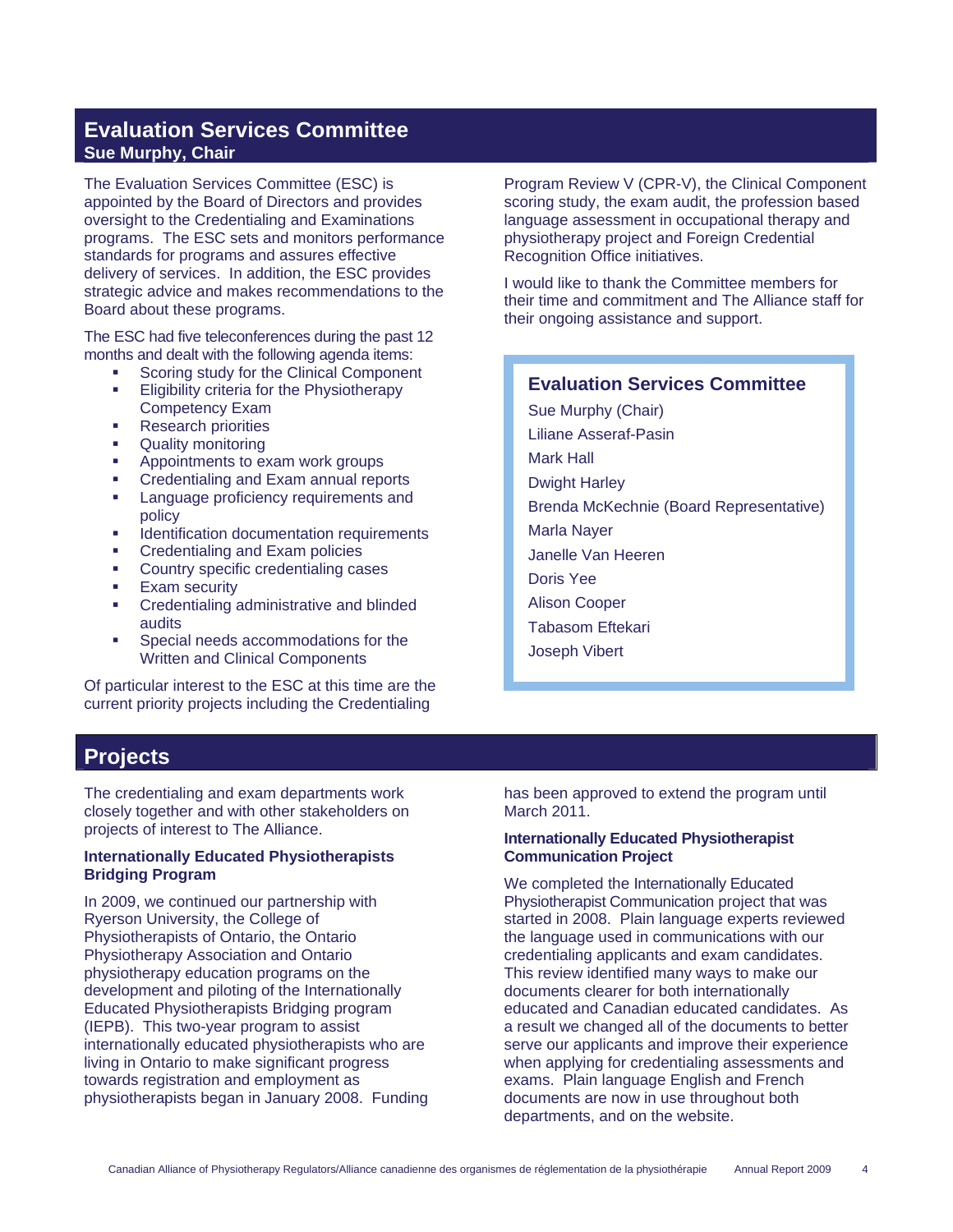# **Evaluation Services Committee Sue Murphy, Chair**

The Evaluation Services Committee (ESC) is appointed by the Board of Directors and provides oversight to the Credentialing and Examinations programs. The ESC sets and monitors performance standards for programs and assures effective delivery of services. In addition, the ESC provides strategic advice and makes recommendations to the Board about these programs.

The ESC had five teleconferences during the past 12 months and dealt with the following agenda items:

- Scoring study for the Clinical Component Eligibility criteria for the Physiotherapy Competency Exam
- **Research priorities**
- Quality monitoring
- **Appointments to exam work groups**
- Credentialing and Exam annual reports
- Language proficiency requirements and policy
- **IDENTIFICATE IN ACCOMMENT ACCOMMENT IDENTIFIES**
- Credentialing and Exam policies
- **EXECOUNTER COUNTRY Specific credentialing cases**
- **Exam security**
- Credentialing administrative and blinded audits
- Special needs accommodations for the Written and Clinical Components

Of particular interest to the ESC at this time are the current priority projects including the Credentialing

**Projects** 

The credentialing and exam departments work closely together and with other stakeholders on projects of interest to The Alliance.

### **Internationally Educated Physiotherapists Bridging Program**

In 2009, we continued our partnership with Ryerson University, the College of Physiotherapists of Ontario, the Ontario Physiotherapy Association and Ontario physiotherapy education programs on the development and piloting of the Internationally Educated Physiotherapists Bridging program (IEPB). This two-year program to assist internationally educated physiotherapists who are living in Ontario to make significant progress towards registration and employment as physiotherapists began in January 2008. Funding

Program Review V (CPR-V), the Clinical Component scoring study, the exam audit, the profession based language assessment in occupational therapy and physiotherapy project and Foreign Credential Recognition Office initiatives.

I would like to thank the Committee members for their time and commitment and The Alliance staff for their ongoing assistance and support.

### **Evaluation Services Committee**

Sue Murphy (Chair) Liliane Asseraf-Pasin

- Mark Hall Dwight Harley
- Brenda McKechnie (Board Representative)
- Marla Nayer
- Janelle Van Heeren
- Doris Yee
- Alison Cooper
- Tabasom Eftekari
- Joseph Vibert

has been approved to extend the program until March 2011.

#### **Internationally Educated Physiotherapist Communication Project**

We completed the Internationally Educated Physiotherapist Communication project that was started in 2008. Plain language experts reviewed the language used in communications with our credentialing applicants and exam candidates. This review identified many ways to make our documents clearer for both internationally educated and Canadian educated candidates. As a result we changed all of the documents to better serve our applicants and improve their experience when applying for credentialing assessments and exams. Plain language English and French documents are now in use throughout both departments, and on the website.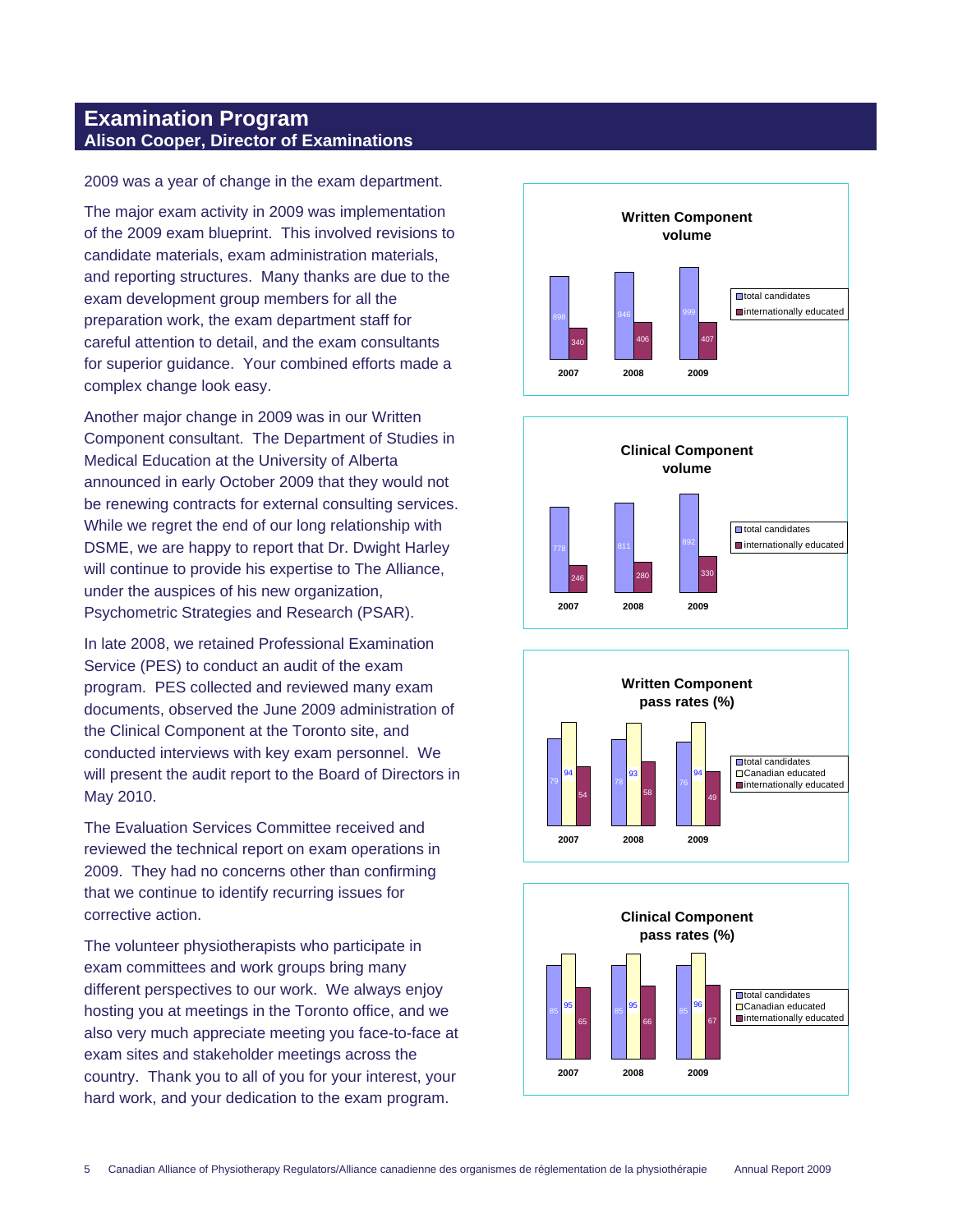## **Examination Program Alison Cooper, Director of Examinations**

2009 was a year of change in the exam department.

The major exam activity in 2009 was implementation of the 2009 exam blueprint. This involved revisions to candidate materials, exam administration materials, and reporting structures. Many thanks are due to the exam development group members for all the preparation work, the exam department staff for careful attention to detail, and the exam consultants for superior guidance. Your combined efforts made a complex change look easy.

Another major change in 2009 was in our Written Component consultant. The Department of Studies in Medical Education at the University of Alberta announced in early October 2009 that they would not be renewing contracts for external consulting services. While we regret the end of our long relationship with DSME, we are happy to report that Dr. Dwight Harley will continue to provide his expertise to The Alliance, under the auspices of his new organization, Psychometric Strategies and Research (PSAR).

In late 2008, we retained Professional Examination Service (PES) to conduct an audit of the exam program. PES collected and reviewed many exam documents, observed the June 2009 administration of the Clinical Component at the Toronto site, and conducted interviews with key exam personnel. We will present the audit report to the Board of Directors in May 2010.

The Evaluation Services Committee received and reviewed the technical report on exam operations in 2009. They had no concerns other than confirming that we continue to identify recurring issues for corrective action.

The volunteer physiotherapists who participate in exam committees and work groups bring many different perspectives to our work. We always enjoy hosting you at meetings in the Toronto office, and we also very much appreciate meeting you face-to-face at exam sites and stakeholder meetings across the country. Thank you to all of you for your interest, your hard work, and your dedication to the exam program.







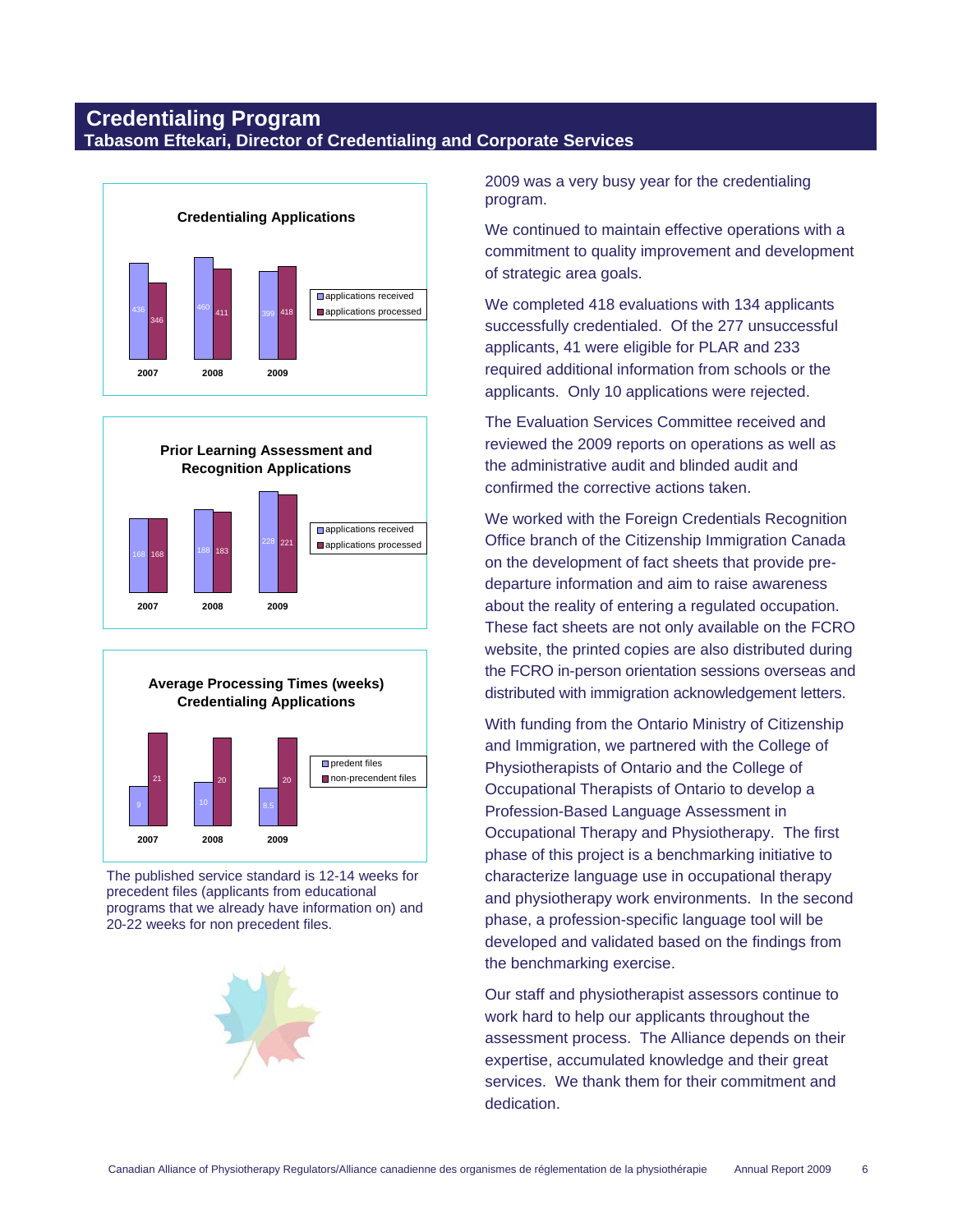# **Credentialing Program Tabasom Eftekari, Director of Credentialing and Corporate Services**







The published service standard is 12-14 weeks for precedent files (applicants from educational programs that we already have information on) and 20-22 weeks for non precedent files.



2009 was a very busy year for the credentialing program.

We continued to maintain effective operations with a commitment to quality improvement and development of strategic area goals.

We completed 418 evaluations with 134 applicants successfully credentialed. Of the 277 unsuccessful applicants, 41 were eligible for PLAR and 233 required additional information from schools or the applicants. Only 10 applications were rejected.

The Evaluation Services Committee received and reviewed the 2009 reports on operations as well as the administrative audit and blinded audit and confirmed the corrective actions taken.

We worked with the Foreign Credentials Recognition Office branch of the Citizenship Immigration Canada on the development of fact sheets that provide predeparture information and aim to raise awareness about the reality of entering a regulated occupation. These fact sheets are not only available on the FCRO website, the printed copies are also distributed during the FCRO in-person orientation sessions overseas and distributed with immigration acknowledgement letters.

With funding from the Ontario Ministry of Citizenship and Immigration, we partnered with the College of Physiotherapists of Ontario and the College of Occupational Therapists of Ontario to develop a Profession-Based Language Assessment in Occupational Therapy and Physiotherapy. The first phase of this project is a benchmarking initiative to characterize language use in occupational therapy and physiotherapy work environments. In the second phase, a profession-specific language tool will be developed and validated based on the findings from the benchmarking exercise.

Our staff and physiotherapist assessors continue to work hard to help our applicants throughout the assessment process. The Alliance depends on their expertise, accumulated knowledge and their great services. We thank them for their commitment and dedication.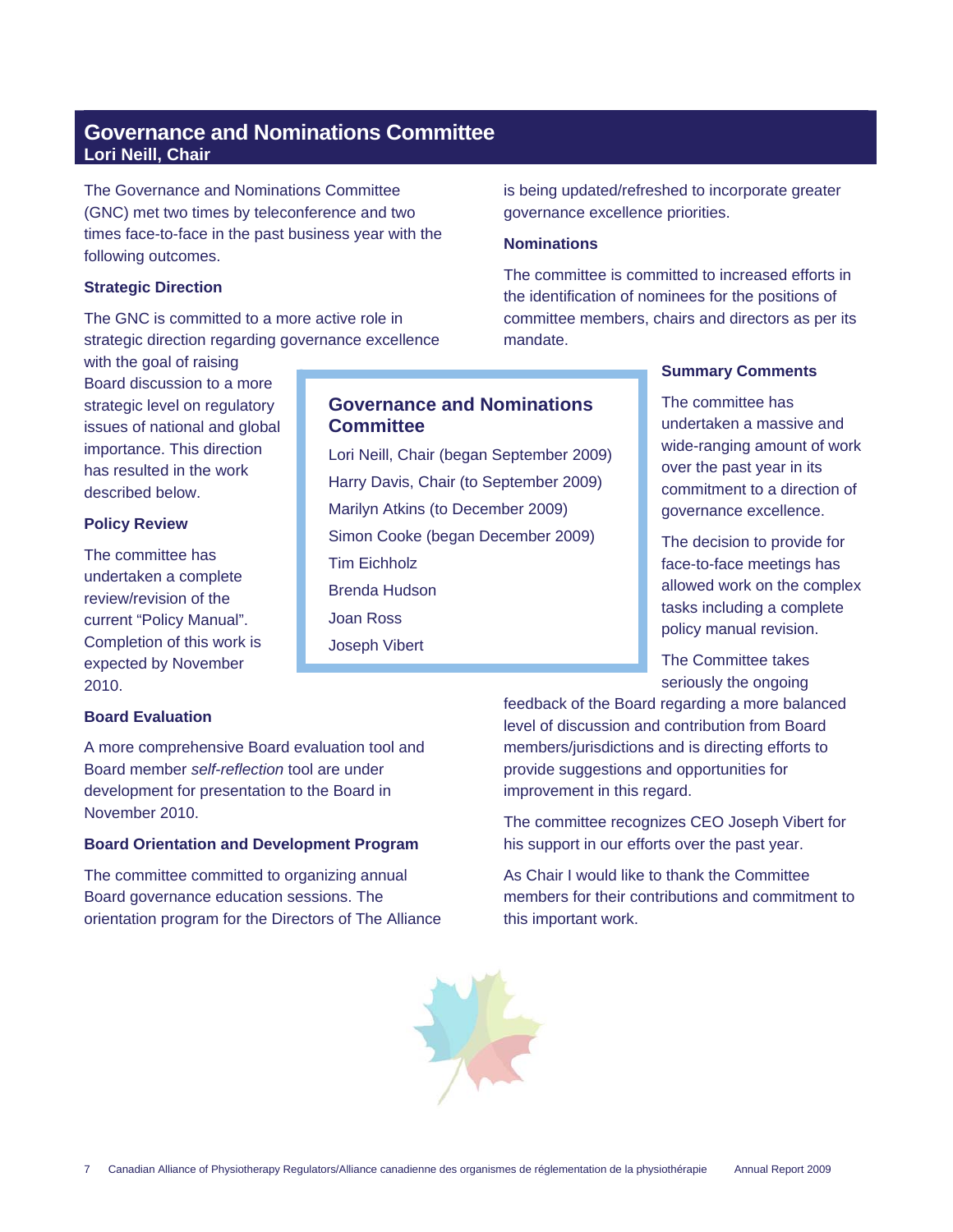# **Governance and Nominations Committee Lori Neill, Chair**

The Governance and Nominations Committee (GNC) met two times by teleconference and two times face-to-face in the past business year with the following outcomes.

### **Strategic Direction**

The GNC is committed to a more active role in strategic direction regarding governance excellence

with the goal of raising Board discussion to a more strategic level on regulatory issues of national and global importance. This direction has resulted in the work described below.

### **Policy Review**

The committee has undertaken a complete review/revision of the current "Policy Manual". Completion of this work is expected by November 2010.

### **Board Evaluation**

A more comprehensive Board evaluation tool and Board member *self-reflection* tool are under development for presentation to the Board in November 2010.

### **Board Orientation and Development Program**

The committee committed to organizing annual Board governance education sessions. The orientation program for the Directors of The Alliance



### **Nominations**

**Governance and Nominations** 

Lori Neill, Chair (began September 2009) Harry Davis, Chair (to September 2009)

Marilyn Atkins (to December 2009) Simon Cooke (began December 2009)

**Committee**

Tim Eichholz Brenda Hudson

Joan Ross Joseph Vibert The committee is committed to increased efforts in the identification of nominees for the positions of committee members, chairs and directors as per its mandate.

### **Summary Comments**

The committee has undertaken a massive and wide-ranging amount of work over the past year in its commitment to a direction of governance excellence.

The decision to provide for face-to-face meetings has allowed work on the complex tasks including a complete policy manual revision.

The Committee takes seriously the ongoing

feedback of the Board regarding a more balanced level of discussion and contribution from Board members/jurisdictions and is directing efforts to provide suggestions and opportunities for improvement in this regard.

The committee recognizes CEO Joseph Vibert for his support in our efforts over the past year.

As Chair I would like to thank the Committee members for their contributions and commitment to this important work.

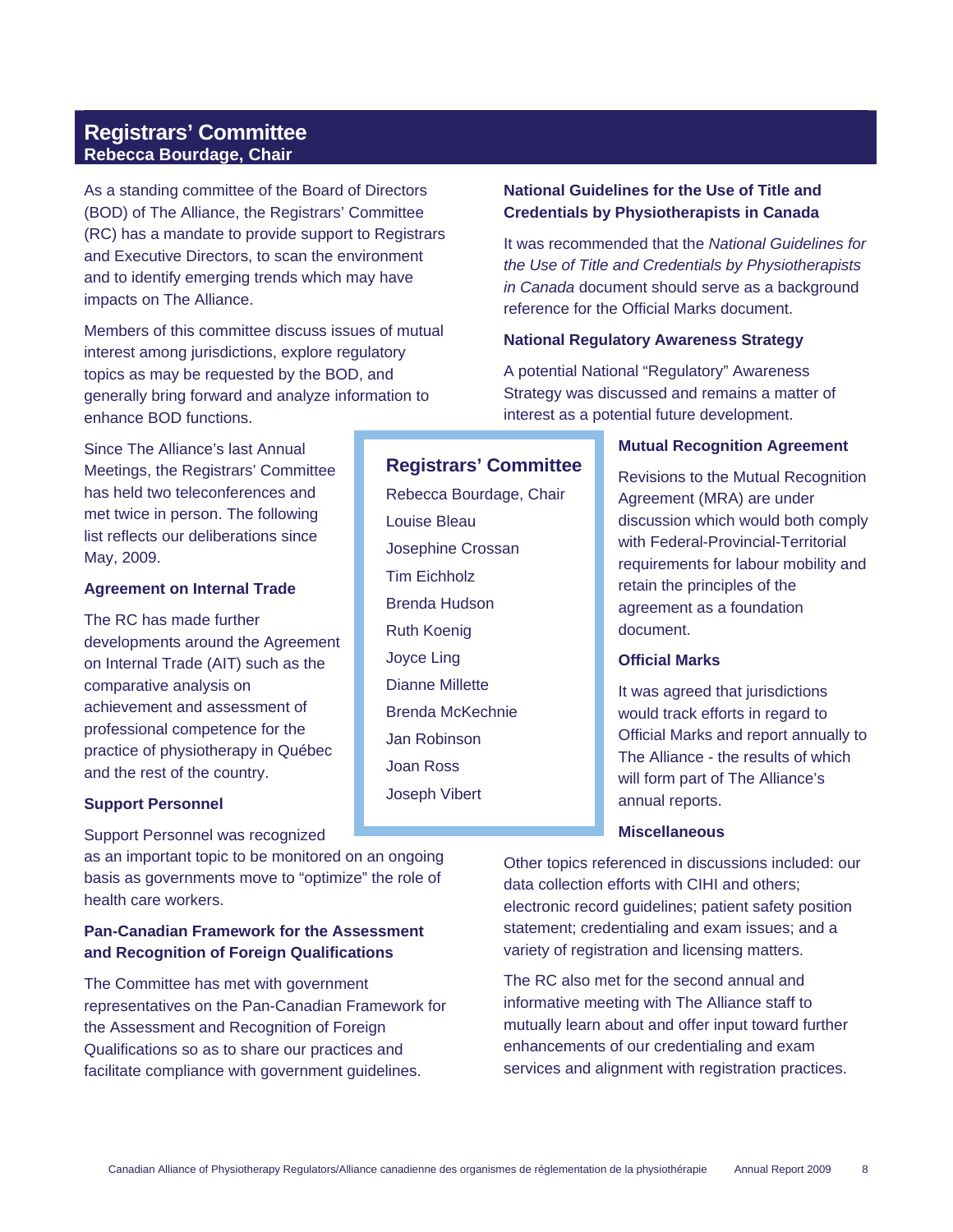# **Registrars' Committee Rebecca Bourdage, Chair**

As a standing committee of the Board of Directors (BOD) of The Alliance, the Registrars' Committee (RC) has a mandate to provide support to Registrars and Executive Directors, to scan the environment and to identify emerging trends which may have impacts on The Alliance.

Members of this committee discuss issues of mutual interest among jurisdictions, explore regulatory topics as may be requested by the BOD, and generally bring forward and analyze information to enhance BOD functions.

Since The Alliance's last Annual Meetings, the Registrars' Committee has held two teleconferences and met twice in person. The following list reflects our deliberations since May, 2009.

### **Agreement on Internal Trade**

The RC has made further developments around the Agreement on Internal Trade (AIT) such as the comparative analysis on achievement and assessment of professional competence for the practice of physiotherapy in Québec and the rest of the country.

#### **Support Personnel**

Support Personnel was recognized

as an important topic to be monitored on an ongoing basis as governments move to "optimize" the role of health care workers.

### **Pan-Canadian Framework for the Assessment and Recognition of Foreign Qualifications**

The Committee has met with government representatives on the Pan-Canadian Framework for the Assessment and Recognition of Foreign Qualifications so as to share our practices and facilitate compliance with government guidelines.

### **National Guidelines for the Use of Title and Credentials by Physiotherapists in Canada**

It was recommended that the *National Guidelines for the Use of Title and Credentials by Physiotherapists in Canada* document should serve as a background reference for the Official Marks document.

#### **National Regulatory Awareness Strategy**

A potential National "Regulatory" Awareness Strategy was discussed and remains a matter of interest as a potential future development.

#### **Mutual Recognition Agreement**

Revisions to the Mutual Recognition Agreement (MRA) are under discussion which would both comply with Federal-Provincial-Territorial requirements for labour mobility and retain the principles of the agreement as a foundation document.

#### **Official Marks**

It was agreed that jurisdictions would track efforts in regard to Official Marks and report annually to The Alliance - the results of which will form part of The Alliance's annual reports.

### **Miscellaneous**

Other topics referenced in discussions included: our data collection efforts with CIHI and others; electronic record guidelines; patient safety position statement; credentialing and exam issues; and a variety of registration and licensing matters.

The RC also met for the second annual and informative meeting with The Alliance staff to mutually learn about and offer input toward further enhancements of our credentialing and exam services and alignment with registration practices.

### **Registrars' Committee**

Rebecca Bourdage, Chair Louise Bleau Josephine Crossan Tim Eichholz Brenda Hudson Ruth Koenig Joyce Ling Dianne Millette Brenda McKechnie Jan Robinson Joan Ross Joseph Vibert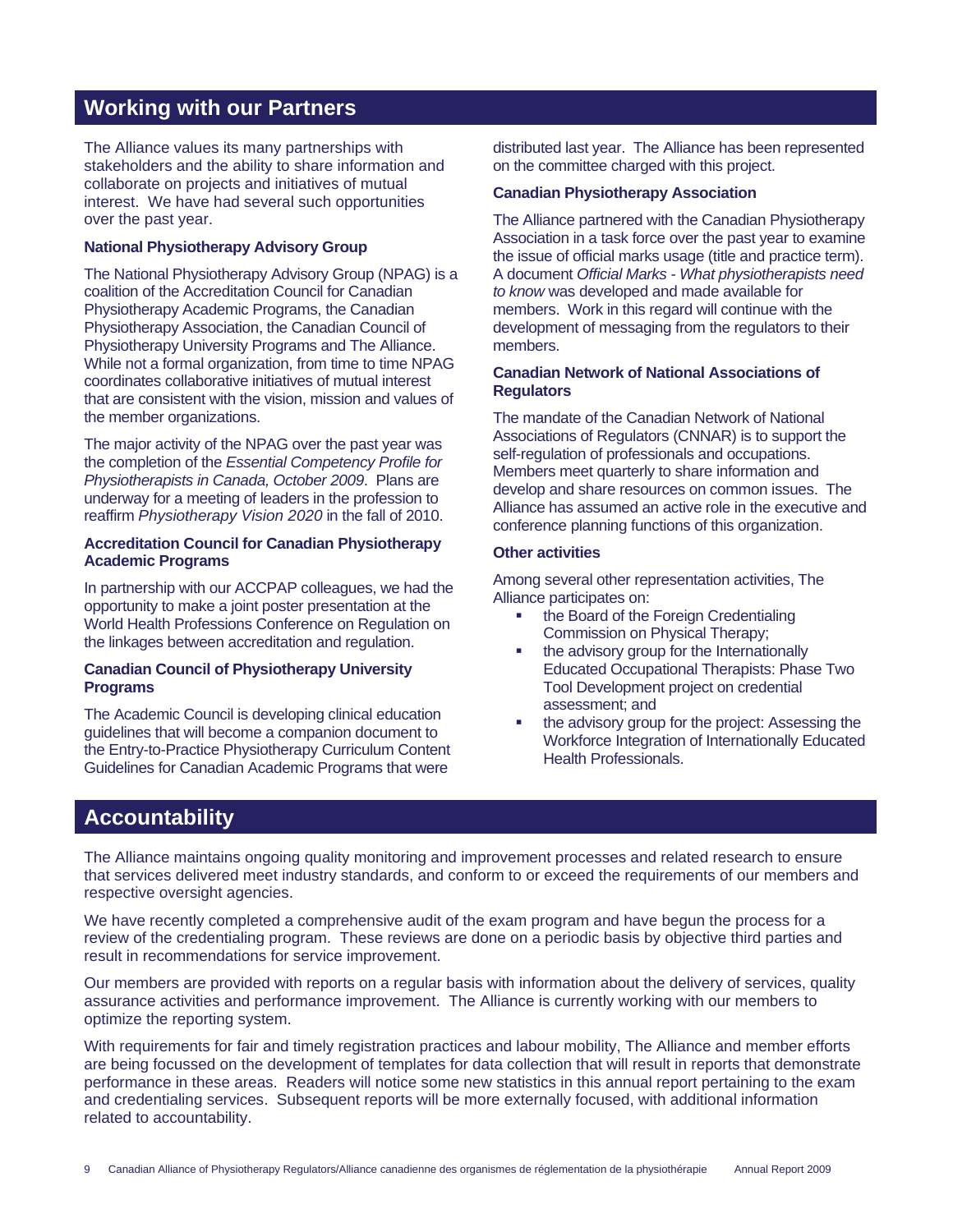# **Working with our Partners**

The Alliance values its many partnerships with stakeholders and the ability to share information and collaborate on projects and initiatives of mutual interest. We have had several such opportunities over the past year.

#### **National Physiotherapy Advisory Group**

The National Physiotherapy Advisory Group (NPAG) is a coalition of the Accreditation Council for Canadian Physiotherapy Academic Programs, the Canadian Physiotherapy Association, the Canadian Council of Physiotherapy University Programs and The Alliance. While not a formal organization, from time to time NPAG coordinates collaborative initiatives of mutual interest that are consistent with the vision, mission and values of the member organizations.

The major activity of the NPAG over the past year was the completion of the *Essential Competency Profile for Physiotherapists in Canada, October 2009*. Plans are underway for a meeting of leaders in the profession to reaffirm *Physiotherapy Vision 2020* in the fall of 2010.

#### **Accreditation Council for Canadian Physiotherapy Academic Programs**

In partnership with our ACCPAP colleagues, we had the opportunity to make a joint poster presentation at the World Health Professions Conference on Regulation on the linkages between accreditation and regulation.

### **Canadian Council of Physiotherapy University Programs**

The Academic Council is developing clinical education guidelines that will become a companion document to the Entry-to-Practice Physiotherapy Curriculum Content Guidelines for Canadian Academic Programs that were

distributed last year. The Alliance has been represented on the committee charged with this project.

#### **Canadian Physiotherapy Association**

The Alliance partnered with the Canadian Physiotherapy Association in a task force over the past year to examine the issue of official marks usage (title and practice term). A document *Official Marks - What physiotherapists need to know* was developed and made available for members. Work in this regard will continue with the development of messaging from the regulators to their members.

### **Canadian Network of National Associations of Regulators**

The mandate of the Canadian Network of National Associations of Regulators (CNNAR) is to support the self-regulation of professionals and occupations. Members meet quarterly to share information and develop and share resources on common issues. The Alliance has assumed an active role in the executive and conference planning functions of this organization.

### **Other activities**

Among several other representation activities, The Alliance participates on:

- the Board of the Foreign Credentialing Commission on Physical Therapy;
- the advisory group for the Internationally Educated Occupational Therapists: Phase Two Tool Development project on credential assessment; and
- the advisory group for the project: Assessing the Workforce Integration of Internationally Educated Health Professionals.

# **Accountability**

The Alliance maintains ongoing quality monitoring and improvement processes and related research to ensure that services delivered meet industry standards, and conform to or exceed the requirements of our members and respective oversight agencies.

We have recently completed a comprehensive audit of the exam program and have begun the process for a review of the credentialing program. These reviews are done on a periodic basis by objective third parties and result in recommendations for service improvement.

Our members are provided with reports on a regular basis with information about the delivery of services, quality assurance activities and performance improvement. The Alliance is currently working with our members to optimize the reporting system.

With requirements for fair and timely registration practices and labour mobility, The Alliance and member efforts are being focussed on the development of templates for data collection that will result in reports that demonstrate performance in these areas. Readers will notice some new statistics in this annual report pertaining to the exam and credentialing services. Subsequent reports will be more externally focused, with additional information related to accountability.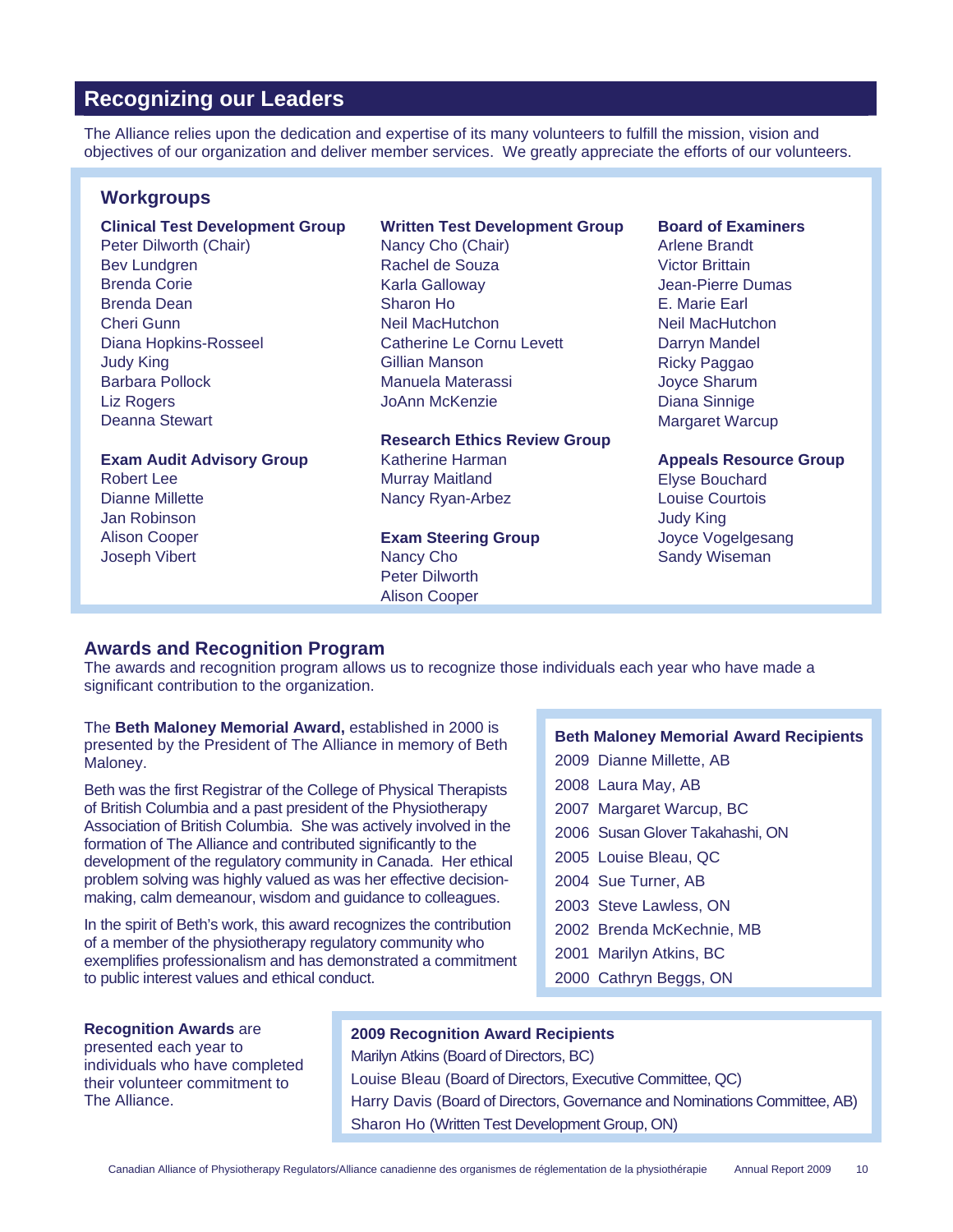# **Recognizing our Leaders**

The Alliance relies upon the dedication and expertise of its many volunteers to fulfill the mission, vision and objectives of our organization and deliver member services. We greatly appreciate the efforts of our volunteers.

### **Workgroups**

#### **Clinical Test Development Group**  Peter Dilworth (Chair) Bev Lundgren Brenda Corie

Brenda Dean Cheri Gunn Diana Hopkins-Rosseel Judy King Barbara Pollock Liz Rogers Deanna Stewart

### **Exam Audit Advisory Group**

Robert Lee Dianne Millette Jan Robinson Alison Cooper Joseph Vibert

### **Written Test Development Group**

Nancy Cho (Chair) Rachel de Souza Karla Galloway Sharon Ho Neil MacHutchon Catherine Le Cornu Levett Gillian Manson Manuela Materassi JoAnn McKenzie

### **Research Ethics Review Group**  Katherine Harman Murray Maitland

Nancy Ryan-Arbez

### **Exam Steering Group**  Nancy Cho Peter Dilworth Alison Cooper

#### **Board of Examiners**

Arlene Brandt Victor Brittain Jean-Pierre Dumas E. Marie Earl Neil MacHutchon Darryn Mandel Ricky Paggao Joyce Sharum Diana Sinnige Margaret Warcup

### **Appeals Resource Group**

Elyse Bouchard Louise Courtois Judy King Joyce Vogelgesang Sandy Wiseman

### **Awards and Recognition Program**

The awards and recognition program allows us to recognize those individuals each year who have made a significant contribution to the organization.

The **Beth Maloney Memorial Award,** established in 2000 is presented by the President of The Alliance in memory of Beth Maloney.

Beth was the first Registrar of the College of Physical Therapists of British Columbia and a past president of the Physiotherapy Association of British Columbia. She was actively involved in the formation of The Alliance and contributed significantly to the development of the regulatory community in Canada. Her ethical problem solving was highly valued as was her effective decisionmaking, calm demeanour, wisdom and guidance to colleagues.

In the spirit of Beth's work, this award recognizes the contribution of a member of the physiotherapy regulatory community who exemplifies professionalism and has demonstrated a commitment to public interest values and ethical conduct.

### **Beth Maloney Memorial Award Recipients**

- 2009 Dianne Millette, AB
- 2008 Laura May, AB
- 2007 Margaret Warcup, BC
- 2006 Susan Glover Takahashi, ON
- 2005 Louise Bleau, QC
- 2004 Sue Turner, AB
- 2003 Steve Lawless, ON
- 2002 Brenda McKechnie, MB
- 2001 Marilyn Atkins, BC
- 2000 Cathryn Beggs, ON

### **Recognition Awards** are

presented each year to individuals who have completed their volunteer commitment to The Alliance.

### **2009 Recognition Award Recipients**

Marilyn Atkins (Board of Directors, BC) Louise Bleau (Board of Directors, Executive Committee, QC) Harry Davis (Board of Directors, Governance and Nominations Committee, AB) Sharon Ho (Written Test Development Group, ON)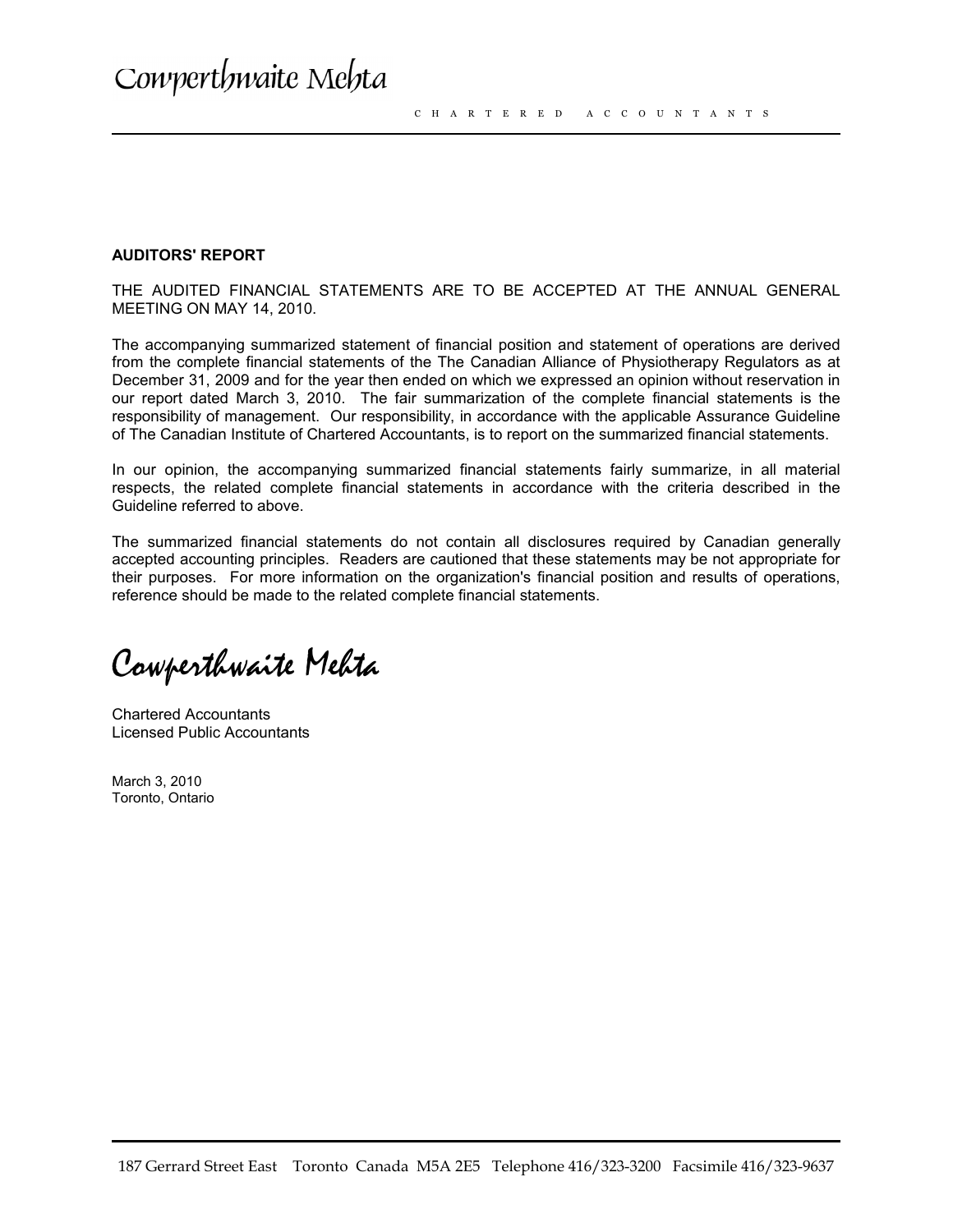#### **AUDITORS' REPORT**

THE AUDITED FINANCIAL STATEMENTS ARE TO BE ACCEPTED AT THE ANNUAL GENERAL MEETING ON MAY 14, 2010.

The accompanying summarized statement of financial position and statement of operations are derived from the complete financial statements of the The Canadian Alliance of Physiotherapy Regulators as at December 31, 2009 and for the year then ended on which we expressed an opinion without reservation in our report dated March 3, 2010. The fair summarization of the complete financial statements is the responsibility of management. Our responsibility, in accordance with the applicable Assurance Guideline of The Canadian Institute of Chartered Accountants, is to report on the summarized financial statements.

In our opinion, the accompanying summarized financial statements fairly summarize, in all material respects, the related complete financial statements in accordance with the criteria described in the Guideline referred to above.

The summarized financial statements do not contain all disclosures required by Canadian generally accepted accounting principles. Readers are cautioned that these statements may be not appropriate for their purposes. For more information on the organization's financial position and results of operations, reference should be made to the related complete financial statements.

Cowperthwaite Mehta

Chartered Accountants Licensed Public Accountants

March 3, 2010 Toronto, Ontario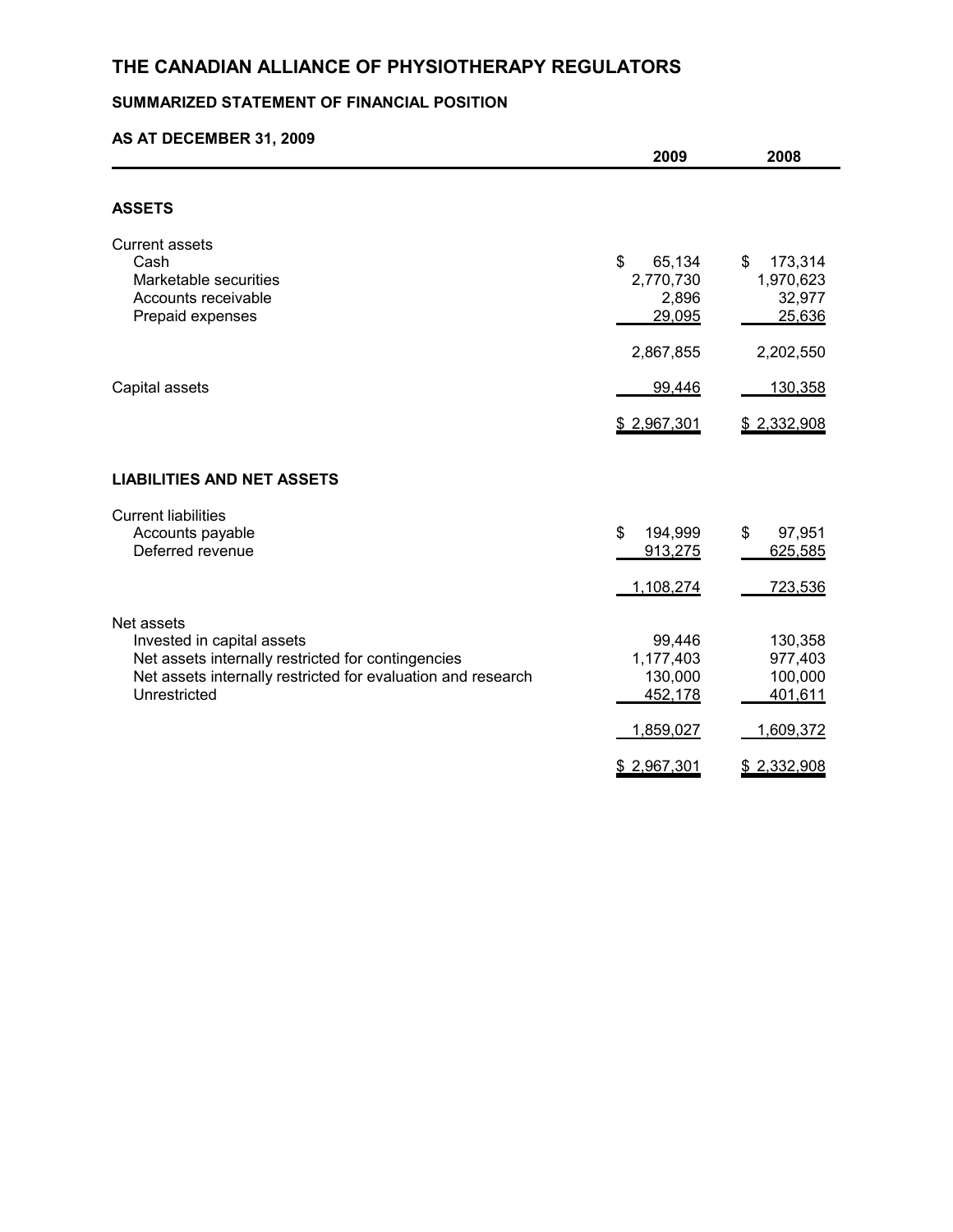# **THE CANADIAN ALLIANCE OF PHYSIOTHERAPY REGULATORS**

# **SUMMARIZED STATEMENT OF FINANCIAL POSITION**

### **AS AT DECEMBER 31, 2009**

|                                                                                                                                                                                | 2009                                                   | 2008                                                  |
|--------------------------------------------------------------------------------------------------------------------------------------------------------------------------------|--------------------------------------------------------|-------------------------------------------------------|
|                                                                                                                                                                                |                                                        |                                                       |
| <b>ASSETS</b>                                                                                                                                                                  |                                                        |                                                       |
| <b>Current assets</b><br>Cash<br>Marketable securities<br>Accounts receivable<br>Prepaid expenses                                                                              | \$<br>65,134<br>2,770,730<br>2,896<br>29,095           | \$<br>173,314<br>1,970,623<br>32,977<br>25,636        |
|                                                                                                                                                                                | 2,867,855                                              | 2,202,550                                             |
| Capital assets                                                                                                                                                                 | 99,446                                                 | 130,358                                               |
|                                                                                                                                                                                | \$2,967,301                                            | \$2,332,908                                           |
| <b>LIABILITIES AND NET ASSETS</b>                                                                                                                                              |                                                        |                                                       |
| <b>Current liabilities</b><br>Accounts payable<br>Deferred revenue                                                                                                             | \$<br>194,999<br>913,275<br>1,108,274                  | \$<br>97,951<br>625,585<br>723,536                    |
| Net assets<br>Invested in capital assets<br>Net assets internally restricted for contingencies<br>Net assets internally restricted for evaluation and research<br>Unrestricted | 99,446<br>1,177,403<br>130,000<br>452,178<br>1,859,027 | 130,358<br>977,403<br>100,000<br>401,611<br>1,609,372 |
|                                                                                                                                                                                | \$2,967,301                                            | \$2,332,908                                           |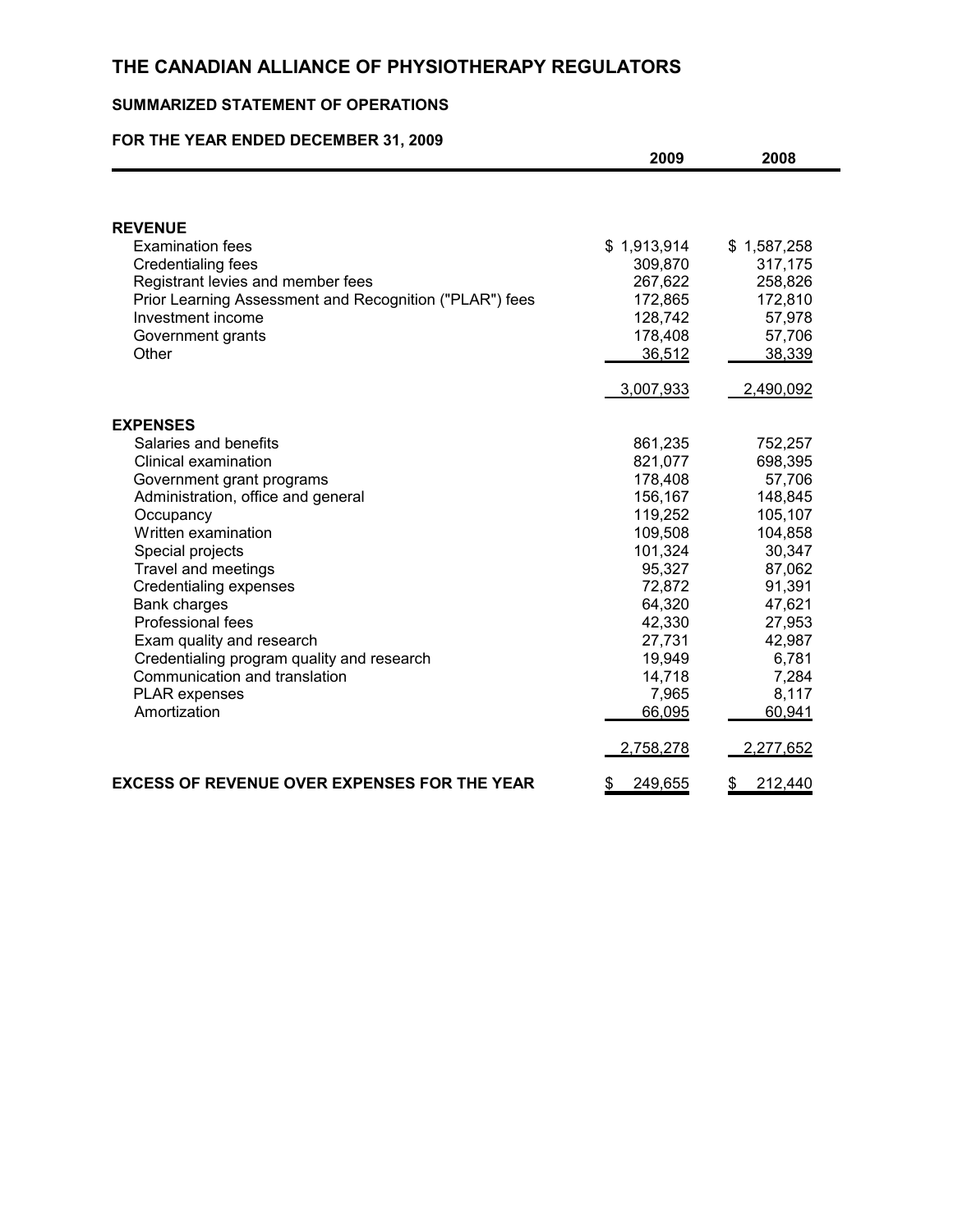# **THE CANADIAN ALLIANCE OF PHYSIOTHERAPY REGULATORS**

## **SUMMARIZED STATEMENT OF OPERATIONS**

### **FOR THE YEAR ENDED DECEMBER 31, 2009**

|                                                         | 2009          | 2008          |
|---------------------------------------------------------|---------------|---------------|
|                                                         |               |               |
| <b>REVENUE</b>                                          |               |               |
| <b>Examination fees</b>                                 | \$1,913,914   | \$1,587,258   |
| Credentialing fees                                      | 309,870       | 317,175       |
| Registrant levies and member fees                       | 267,622       | 258,826       |
| Prior Learning Assessment and Recognition ("PLAR") fees | 172,865       | 172,810       |
| Investment income                                       | 128,742       | 57,978        |
| Government grants                                       | 178,408       | 57,706        |
| Other                                                   | 36,512        | 38,339        |
|                                                         | 3,007,933     | 2,490,092     |
| <b>EXPENSES</b>                                         |               |               |
| Salaries and benefits                                   | 861,235       | 752,257       |
| Clinical examination                                    | 821,077       | 698,395       |
| Government grant programs                               | 178,408       | 57,706        |
| Administration, office and general                      | 156,167       | 148,845       |
| Occupancy                                               | 119,252       | 105,107       |
| Written examination                                     | 109,508       | 104,858       |
| Special projects                                        | 101,324       | 30,347        |
| Travel and meetings                                     | 95,327        | 87,062        |
| <b>Credentialing expenses</b>                           | 72,872        | 91,391        |
| Bank charges                                            | 64,320        | 47,621        |
| Professional fees                                       | 42,330        | 27,953        |
| Exam quality and research                               | 27,731        | 42,987        |
| Credentialing program quality and research              | 19,949        | 6,781         |
| Communication and translation                           | 14,718        | 7,284         |
| <b>PLAR</b> expenses                                    | 7,965         | 8,117         |
| Amortization                                            | 66,095        | 60,941        |
|                                                         | 2,758,278     | 2,277,652     |
| EXCESS OF REVENUE OVER EXPENSES FOR THE YEAR            | \$<br>249,655 | 212,440<br>\$ |